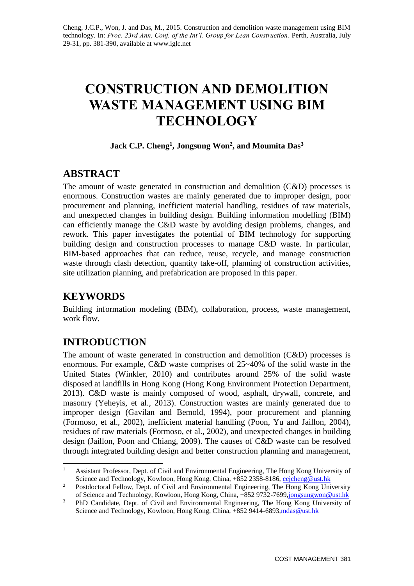# **CONSTRUCTION AND DEMOLITION WASTE MANAGEMENT USING BIM TECHNOLOGY**

# **Jack C.P. Cheng<sup>1</sup> , Jongsung Won<sup>2</sup> , and Moumita Das<sup>3</sup>**

# **ABSTRACT**

The amount of waste generated in construction and demolition (C&D) processes is enormous. Construction wastes are mainly generated due to improper design, poor procurement and planning, inefficient material handling, residues of raw materials, and unexpected changes in building design. Building information modelling (BIM) can efficiently manage the C&D waste by avoiding design problems, changes, and rework. This paper investigates the potential of BIM technology for supporting building design and construction processes to manage C&D waste. In particular, BIM-based approaches that can reduce, reuse, recycle, and manage construction waste through clash detection, quantity take-off, planning of construction activities, site utilization planning, and prefabrication are proposed in this paper.

# **KEYWORDS**

-

Building information modeling (BIM), collaboration, process, waste management, work flow.

# **INTRODUCTION**

The amount of waste generated in construction and demolition (C&D) processes is enormous. For example, C&D waste comprises of 25~40% of the solid waste in the United States (Winkler, 2010) and contributes around 25% of the solid waste disposed at landfills in Hong Kong (Hong Kong Environment Protection Department, 2013). C&D waste is mainly composed of wood, asphalt, drywall, concrete, and masonry (Yeheyis, et al., 2013). Construction wastes are mainly generated due to improper design (Gavilan and Bemold, 1994), poor procurement and planning (Formoso, et al., 2002), inefficient material handling (Poon, Yu and Jaillon, 2004), residues of raw materials (Formoso, et al., 2002), and unexpected changes in building design (Jaillon, Poon and Chiang, 2009). The causes of C&D waste can be resolved through integrated building design and better construction planning and management,

<sup>1</sup> Assistant Professor, Dept. of Civil and Environmental Engineering, The Hong Kong University of Science and Technology, Kowloon, Hong Kong, China, +852 2358-8186[, cejcheng@ust.hk](mailto:cejcheng@ust.hk)

<sup>&</sup>lt;sup>2</sup> Postdoctoral Fellow, Dept. of Civil and Environmental Engineering, The Hong Kong University of Science and Technology, Kowloon, Hong Kong, China, +852 9732-7699[,jongsungwon@ust.hk](mailto:jongsungwon@ust.hk)

<sup>&</sup>lt;sup>3</sup> PhD Candidate, Dept. of Civil and Environmental Engineering, The Hong Kong University of Science and Technology, Kowloon, Hong Kong, China, +852 9414-6893, mdas @ust.hk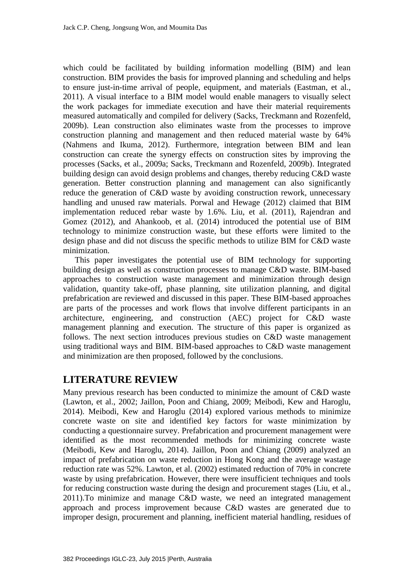which could be facilitated by building information modelling (BIM) and lean construction. BIM provides the basis for improved planning and scheduling and helps to ensure just-in-time arrival of people, equipment, and materials (Eastman, et al., 2011). A visual interface to a BIM model would enable managers to visually select the work packages for immediate execution and have their material requirements measured automatically and compiled for delivery (Sacks, Treckmann and Rozenfeld, 2009b). Lean construction also eliminates waste from the processes to improve construction planning and management and then reduced material waste by 64% (Nahmens and Ikuma, 2012). Furthermore, integration between BIM and lean construction can create the synergy effects on construction sites by improving the processes (Sacks, et al., 2009a; Sacks, Treckmann and Rozenfeld, 2009b). Integrated building design can avoid design problems and changes, thereby reducing C&D waste generation. Better construction planning and management can also significantly reduce the generation of C&D waste by avoiding construction rework, unnecessary handling and unused raw materials. Porwal and Hewage (2012) claimed that BIM implementation reduced rebar waste by 1.6%. Liu, et al. (2011), Rajendran and Gomez (2012), and Ahankoob, et al. (2014) introduced the potential use of BIM technology to minimize construction waste, but these efforts were limited to the design phase and did not discuss the specific methods to utilize BIM for C&D waste minimization.

This paper investigates the potential use of BIM technology for supporting building design as well as construction processes to manage C&D waste. BIM-based approaches to construction waste management and minimization through design validation, quantity take-off, phase planning, site utilization planning, and digital prefabrication are reviewed and discussed in this paper. These BIM-based approaches are parts of the processes and work flows that involve different participants in an architecture, engineering, and construction (AEC) project for C&D waste management planning and execution. The structure of this paper is organized as follows. The next section introduces previous studies on C&D waste management using traditional ways and BIM. BIM-based approaches to C&D waste management and minimization are then proposed, followed by the conclusions.

# **LITERATURE REVIEW**

Many previous research has been conducted to minimize the amount of C&D waste (Lawton, et al., 2002; Jaillon, Poon and Chiang, 2009; Meibodi, Kew and Haroglu, 2014). Meibodi, Kew and Haroglu (2014) explored various methods to minimize concrete waste on site and identified key factors for waste minimization by conducting a questionnaire survey. Prefabrication and procurement management were identified as the most recommended methods for minimizing concrete waste (Meibodi, Kew and Haroglu, 2014). Jaillon, Poon and Chiang (2009) analyzed an impact of prefabrication on waste reduction in Hong Kong and the average wastage reduction rate was 52%. Lawton, et al. (2002) estimated reduction of 70% in concrete waste by using prefabrication. However, there were insufficient techniques and tools for reducing construction waste during the design and procurement stages (Liu, et al., 2011).To minimize and manage C&D waste, we need an integrated management approach and process improvement because C&D wastes are generated due to improper design, procurement and planning, inefficient material handling, residues of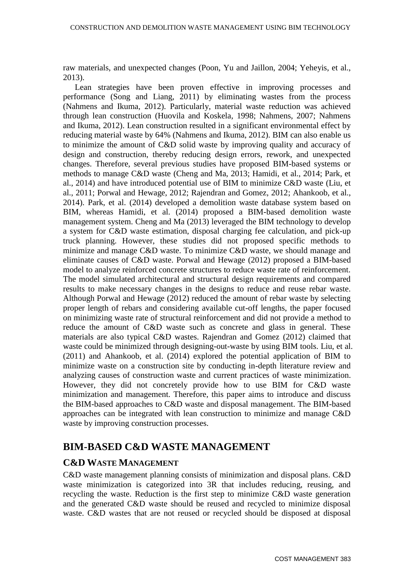raw materials, and unexpected changes (Poon, Yu and Jaillon, 2004; Yeheyis, et al., 2013).

Lean strategies have been proven effective in improving processes and performance (Song and Liang, 2011) by eliminating wastes from the process (Nahmens and Ikuma, 2012). Particularly, material waste reduction was achieved through lean construction (Huovila and Koskela, 1998; Nahmens, 2007; Nahmens and Ikuma, 2012). Lean construction resulted in a significant environmental effect by reducing material waste by 64% (Nahmens and Ikuma, 2012). BIM can also enable us to minimize the amount of C&D solid waste by improving quality and accuracy of design and construction, thereby reducing design errors, rework, and unexpected changes. Therefore, several previous studies have proposed BIM-based systems or methods to manage C&D waste (Cheng and Ma, 2013; Hamidi, et al., 2014; Park, et al., 2014) and have introduced potential use of BIM to minimize C&D waste (Liu, et al., 2011; Porwal and Hewage, 2012; Rajendran and Gomez, 2012; Ahankoob, et al., 2014). Park, et al. (2014) developed a demolition waste database system based on BIM, whereas Hamidi, et al. (2014) proposed a BIM-based demolition waste management system. Cheng and Ma (2013) leveraged the BIM technology to develop a system for C&D waste estimation, disposal charging fee calculation, and pick-up truck planning. However, these studies did not proposed specific methods to minimize and manage C&D waste. To minimize C&D waste, we should manage and eliminate causes of C&D waste. Porwal and Hewage (2012) proposed a BIM-based model to analyze reinforced concrete structures to reduce waste rate of reinforcement. The model simulated architectural and structural design requirements and compared results to make necessary changes in the designs to reduce and reuse rebar waste. Although Porwal and Hewage (2012) reduced the amount of rebar waste by selecting proper length of rebars and considering available cut-off lengths, the paper focused on minimizing waste rate of structural reinforcement and did not provide a method to reduce the amount of C&D waste such as concrete and glass in general. These materials are also typical C&D wastes. Rajendran and Gomez (2012) claimed that waste could be minimized through designing-out-waste by using BIM tools. Liu, et al. (2011) and Ahankoob, et al. (2014) explored the potential application of BIM to minimize waste on a construction site by conducting in-depth literature review and analyzing causes of construction waste and current practices of waste minimization. However, they did not concretely provide how to use BIM for C&D waste minimization and management. Therefore, this paper aims to introduce and discuss the BIM-based approaches to C&D waste and disposal management. The BIM-based approaches can be integrated with lean construction to minimize and manage C&D waste by improving construction processes.

# **BIM-BASED C&D WASTE MANAGEMENT**

# **C&D WASTE MANAGEMENT**

C&D waste management planning consists of minimization and disposal plans. C&D waste minimization is categorized into 3R that includes reducing, reusing, and recycling the waste. Reduction is the first step to minimize C&D waste generation and the generated C&D waste should be reused and recycled to minimize disposal waste. C&D wastes that are not reused or recycled should be disposed at disposal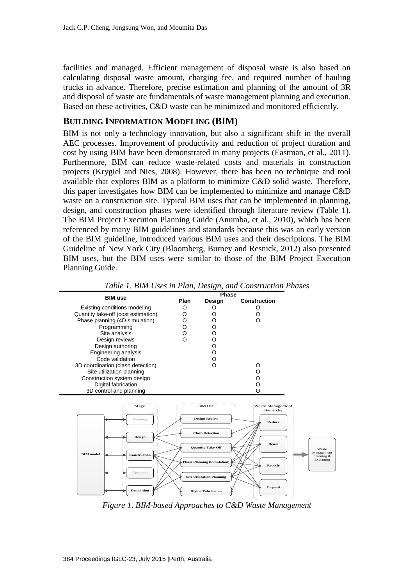facilities and managed. Efficient management of disposal waste is also based on calculating disposal waste amount, charging fee, and required number of hauling trucks in advance. Therefore, precise estimation and planning of the amount of 3R and disposal of waste are fundamentals of waste management planning and execution. Based on these activities, C&D waste can be minimized and monitored efficiently.

#### **BUILDING INFORMATION MODELING (BIM)**

BIM is not only a technology innovation, but also a significant shift in the overall AEC processes. Improvement of productivity and reduction of project duration and cost by using BIM have been demonstrated in many projects (Eastman, et al., 2011). Furthermore, BIM can reduce waste-related costs and materials in construction projects (Krygiel and Nies, 2008). However, there has been no technique and tool available that explores BIM as a platform to minimize C&D solid waste. Therefore, this paper investigates how BIM can be implemented to minimize and manage C&D waste on a construction site. Typical BIM uses that can be implemented in planning, design, and construction phases were identified through literature review (Table 1). The BIM Project Execution Planning Guide (Anumba, et al., 2010), which has been referenced by many BIM guidelines and standards because this was an early version of the BIM guideline, introduced various BIM uses and their descriptions. The BIM Guideline of New York City (Bloomberg, Burney and Resnick, 2012) also presented BIM uses, but the BIM uses were similar to those of the BIM Project Execution Planning Guide.



*Table 1. BIM Uses in Plan, Design, and Construction Phases* 

*Figure 1. BIM-based Approaches to C&D Waste Management*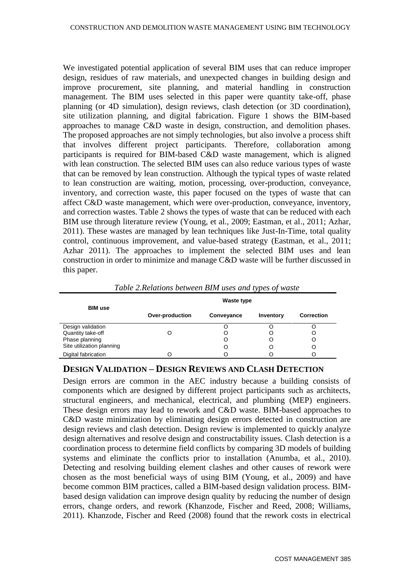We investigated potential application of several BIM uses that can reduce improper design, residues of raw materials, and unexpected changes in building design and improve procurement, site planning, and material handling in construction management. The BIM uses selected in this paper were quantity take-off, phase planning (or 4D simulation), design reviews, clash detection (or 3D coordination), site utilization planning, and digital fabrication. Figure 1 shows the BIM-based approaches to manage C&D waste in design, construction, and demolition phases. The proposed approaches are not simply technologies, but also involve a process shift that involves different project participants. Therefore, collaboration among participants is required for BIM-based C&D waste management, which is aligned with lean construction. The selected BIM uses can also reduce various types of waste that can be removed by lean construction. Although the typical types of waste related to lean construction are waiting, motion, processing, over-production, conveyance, inventory, and correction waste, this paper focused on the types of waste that can affect C&D waste management, which were over-production, conveyance, inventory, and correction wastes. Table 2 shows the types of waste that can be reduced with each BIM use through literature review (Young, et al., 2009; Eastman, et al., 2011; Azhar, 2011). These wastes are managed by lean techniques like Just-In-Time, total quality control, continuous improvement, and value-based strategy (Eastman, et al., 2011; Azhar 2011). The approaches to implement the selected BIM uses and lean construction in order to minimize and manage C&D waste will be further discussed in this paper.

| <b>BIM use</b>            | Waste type      |            |           |                   |
|---------------------------|-----------------|------------|-----------|-------------------|
|                           | Over-production | Conveyance | Inventory | <b>Correction</b> |
| Design validation         |                 |            |           |                   |
| Quantity take-off         |                 |            |           |                   |
| Phase planning            |                 | O          |           |                   |
| Site utilization planning |                 | O          | C         | O                 |
| Digital fabrication       |                 | Ω          |           |                   |

*Table 2.Relations between BIM uses and types of waste*

#### **DESIGN VALIDATION – DESIGN REVIEWS AND CLASH DETECTION**

Design errors are common in the AEC industry because a building consists of components which are designed by different project participants such as architects, structural engineers, and mechanical, electrical, and plumbing (MEP) engineers. These design errors may lead to rework and C&D waste. BIM-based approaches to C&D waste minimization by eliminating design errors detected in construction are design reviews and clash detection. Design review is implemented to quickly analyze design alternatives and resolve design and constructability issues. Clash detection is a coordination process to determine field conflicts by comparing 3D models of building systems and eliminate the conflicts prior to installation (Anumba, et al., 2010). Detecting and resolving building element clashes and other causes of rework were chosen as the most beneficial ways of using BIM (Young, et al., 2009) and have become common BIM practices, called a BIM-based design validation process. BIMbased design validation can improve design quality by reducing the number of design errors, change orders, and rework (Khanzode, Fischer and Reed, 2008; Williams, 2011). Khanzode, Fischer and Reed (2008) found that the rework costs in electrical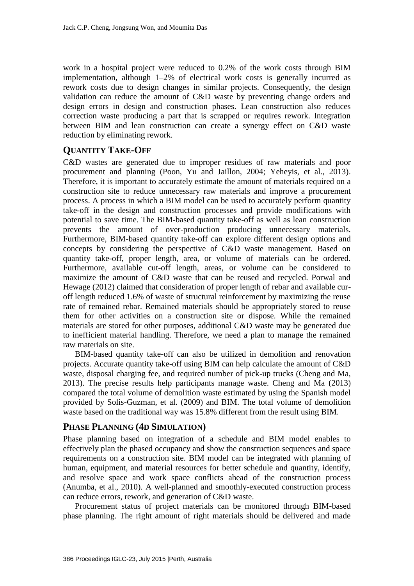work in a hospital project were reduced to 0.2% of the work costs through BIM implementation, although 1–2% of electrical work costs is generally incurred as rework costs due to design changes in similar projects. Consequently, the design validation can reduce the amount of C&D waste by preventing change orders and design errors in design and construction phases. Lean construction also reduces correction waste producing a part that is scrapped or requires rework. Integration between BIM and lean construction can create a synergy effect on C&D waste reduction by eliminating rework.

#### **QUANTITY TAKE-OFF**

C&D wastes are generated due to improper residues of raw materials and poor procurement and planning (Poon, Yu and Jaillon, 2004; Yeheyis, et al., 2013). Therefore, it is important to accurately estimate the amount of materials required on a construction site to reduce unnecessary raw materials and improve a procurement process. A process in which a BIM model can be used to accurately perform quantity take-off in the design and construction processes and provide modifications with potential to save time. The BIM-based quantity take-off as well as lean construction prevents the amount of over-production producing unnecessary materials. Furthermore, BIM-based quantity take-off can explore different design options and concepts by considering the perspective of C&D waste management. Based on quantity take-off, proper length, area, or volume of materials can be ordered. Furthermore, available cut-off length, areas, or volume can be considered to maximize the amount of C&D waste that can be reused and recycled. Porwal and Hewage (2012) claimed that consideration of proper length of rebar and available curoff length reduced 1.6% of waste of structural reinforcement by maximizing the reuse rate of remained rebar. Remained materials should be appropriately stored to reuse them for other activities on a construction site or dispose. While the remained materials are stored for other purposes, additional C&D waste may be generated due to inefficient material handling. Therefore, we need a plan to manage the remained raw materials on site.

BIM-based quantity take-off can also be utilized in demolition and renovation projects. Accurate quantity take-off using BIM can help calculate the amount of C&D waste, disposal charging fee, and required number of pick-up trucks (Cheng and Ma, 2013). The precise results help participants manage waste. Cheng and Ma (2013) compared the total volume of demolition waste estimated by using the Spanish model provided by Solis-Guzman, et al. (2009) and BIM. The total volume of demolition waste based on the traditional way was 15.8% different from the result using BIM.

#### **PHASE PLANNING (4D SIMULATION)**

Phase planning based on integration of a schedule and BIM model enables to effectively plan the phased occupancy and show the construction sequences and space requirements on a construction site. BIM model can be integrated with planning of human, equipment, and material resources for better schedule and quantity, identify, and resolve space and work space conflicts ahead of the construction process (Anumba, et al., 2010). A well-planned and smoothly-executed construction process can reduce errors, rework, and generation of C&D waste.

Procurement status of project materials can be monitored through BIM-based phase planning. The right amount of right materials should be delivered and made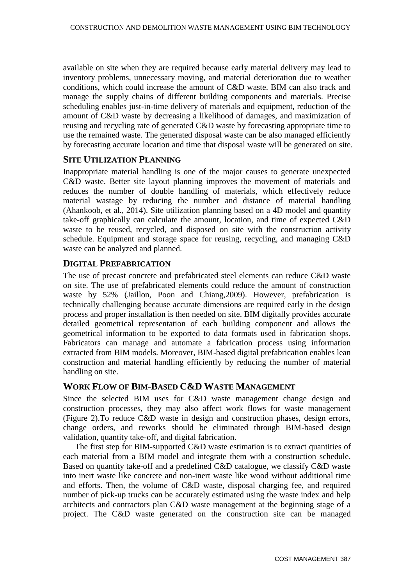available on site when they are required because early material delivery may lead to inventory problems, unnecessary moving, and material deterioration due to weather conditions, which could increase the amount of C&D waste. BIM can also track and manage the supply chains of different building components and materials. Precise scheduling enables just-in-time delivery of materials and equipment, reduction of the amount of C&D waste by decreasing a likelihood of damages, and maximization of reusing and recycling rate of generated C&D waste by forecasting appropriate time to use the remained waste. The generated disposal waste can be also managed efficiently by forecasting accurate location and time that disposal waste will be generated on site.

#### **SITE UTILIZATION PLANNING**

Inappropriate material handling is one of the major causes to generate unexpected C&D waste. Better site layout planning improves the movement of materials and reduces the number of double handling of materials, which effectively reduce material wastage by reducing the number and distance of material handling (Ahankoob, et al., 2014). Site utilization planning based on a 4D model and quantity take-off graphically can calculate the amount, location, and time of expected C&D waste to be reused, recycled, and disposed on site with the construction activity schedule. Equipment and storage space for reusing, recycling, and managing C&D waste can be analyzed and planned.

#### **DIGITAL PREFABRICATION**

The use of precast concrete and prefabricated steel elements can reduce C&D waste on site. The use of prefabricated elements could reduce the amount of construction waste by 52% (Jaillon, Poon and Chiang,2009). However, prefabrication is technically challenging because accurate dimensions are required early in the design process and proper installation is then needed on site. BIM digitally provides accurate detailed geometrical representation of each building component and allows the geometrical information to be exported to data formats used in fabrication shops. Fabricators can manage and automate a fabrication process using information extracted from BIM models. Moreover, BIM-based digital prefabrication enables lean construction and material handling efficiently by reducing the number of material handling on site.

# **WORK FLOW OF BIM-BASED C&D WASTE MANAGEMENT**

Since the selected BIM uses for C&D waste management change design and construction processes, they may also affect work flows for waste management (Figure 2).To reduce C&D waste in design and construction phases, design errors, change orders, and reworks should be eliminated through BIM-based design validation, quantity take-off, and digital fabrication.

The first step for BIM-supported C&D waste estimation is to extract quantities of each material from a BIM model and integrate them with a construction schedule. Based on quantity take-off and a predefined C&D catalogue, we classify C&D waste into inert waste like concrete and non-inert waste like wood without additional time and efforts. Then, the volume of C&D waste, disposal charging fee, and required number of pick-up trucks can be accurately estimated using the waste index and help architects and contractors plan C&D waste management at the beginning stage of a project. The C&D waste generated on the construction site can be managed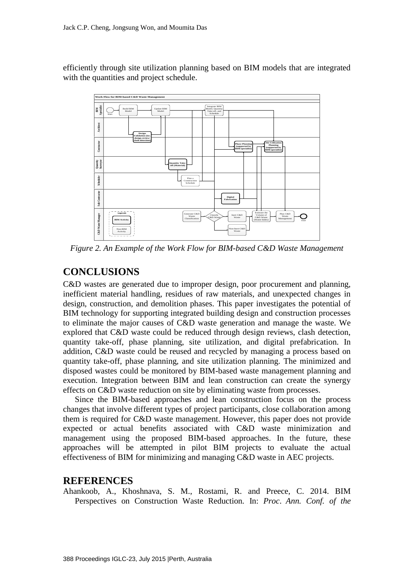efficiently through site utilization planning based on BIM models that are integrated with the quantities and project schedule.



*Figure 2. An Example of the Work Flow for BIM-based C&D Waste Management*

# **CONCLUSIONS**

C&D wastes are generated due to improper design, poor procurement and planning, inefficient material handling, residues of raw materials, and unexpected changes in design, construction, and demolition phases. This paper investigates the potential of BIM technology for supporting integrated building design and construction processes to eliminate the major causes of C&D waste generation and manage the waste. We explored that C&D waste could be reduced through design reviews, clash detection, quantity take-off, phase planning, site utilization, and digital prefabrication. In addition, C&D waste could be reused and recycled by managing a process based on quantity take-off, phase planning, and site utilization planning. The minimized and disposed wastes could be monitored by BIM-based waste management planning and execution. Integration between BIM and lean construction can create the synergy effects on C&D waste reduction on site by eliminating waste from processes.

Since the BIM-based approaches and lean construction focus on the process changes that involve different types of project participants, close collaboration among them is required for C&D waste management. However, this paper does not provide expected or actual benefits associated with C&D waste minimization and management using the proposed BIM-based approaches. In the future, these approaches will be attempted in pilot BIM projects to evaluate the actual effectiveness of BIM for minimizing and managing C&D waste in AEC projects.

# **REFERENCES**

Ahankoob, A., Khoshnava, S. M., Rostami, R. and Preece, C. 2014. BIM Perspectives on Construction Waste Reduction. In: *Proc*. *Ann. Conf. of the*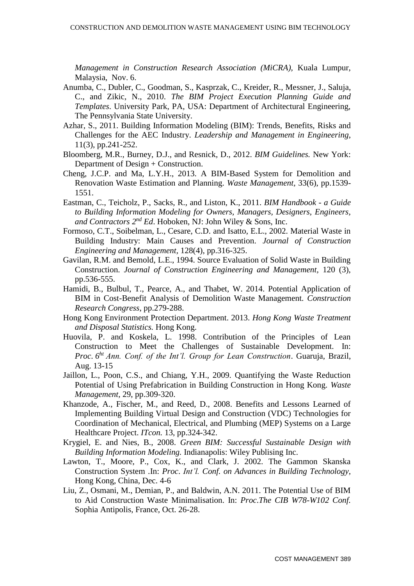*Management in Construction Research Association (MiCRA),* Kuala Lumpur, Malaysia, Nov. 6.

- Anumba, C., Dubler, C., Goodman, S., Kasprzak, C., Kreider, R., Messner, J., Saluja, C., and Zikic, N., 2010. *The BIM Project Execution Planning Guide and Templates*. University Park, PA, USA: Department of Architectural Engineering, The Pennsylvania State University.
- Azhar, S., 2011. Building Information Modeling (BIM): Trends, Benefits, Risks and Challenges for the AEC Industry. *Leadership and Management in Engineering*, 11(3), pp.241-252.
- Bloomberg, M.R., Burney, D.J., and Resnick, D., 2012. *BIM Guidelines.* New York: Department of Design + Construction.
- Cheng, J.C.P. and Ma, L.Y.H., 2013. A BIM-Based System for Demolition and Renovation Waste Estimation and Planning. *Waste Management,* 33(6), pp.1539- 1551.
- Eastman, C., Teicholz, P., Sacks, R., and Liston, K., 2011. *BIM Handbook - a Guide to Building Information Modeling for Owners, Managers, Designers, Engineers, and Contractors 2 nd Ed*. Hoboken, NJ: John Wiley & Sons, Inc.
- Formoso, C.T., Soibelman, L., Cesare, C.D. and Isatto, E.L., 2002. Material Waste in Building Industry: Main Causes and Prevention. *Journal of Construction Engineering and Management,* 128(4), pp.316-325.
- Gavilan, R.M. and Bemold, L.E., 1994. Source Evaluation of Solid Waste in Building Construction. *Journal of Construction Engineering and Management,* 120 (3), pp.536-555.
- Hamidi, B., Bulbul, T., Pearce, A., and Thabet, W. 2014. Potential Application of BIM in Cost-Benefit Analysis of Demolition Waste Management. *Construction Research Congress*, pp.279-288.
- Hong Kong Environment Protection Department. 2013. *Hong Kong Waste Treatment and Disposal Statistics.* Hong Kong.
- Huovila, P. and Koskela, L. 1998. Contribution of the Principles of Lean Construction to Meet the Challenges of Sustainable Development. In: *Proc*. *6 ht Ann. Conf. of the Int'l. Group for Lean Construction*. Guaruja, Brazil, Aug. 13-15
- Jaillon, L., Poon, C.S., and Chiang, Y.H., 2009. Quantifying the Waste Reduction Potential of Using Prefabrication in Building Construction in Hong Kong. *Waste Management,* 29, pp.309-320.
- Khanzode, A., Fischer, M., and Reed, D., 2008. Benefits and Lessons Learned of Implementing Building Virtual Design and Construction (VDC) Technologies for Coordination of Mechanical, Electrical, and Plumbing (MEP) Systems on a Large Healthcare Project. *ITcon.* 13, pp.324-342.
- Krygiel, E. and Nies, B., 2008. *Green BIM: Successful Sustainable Design with Building Information Modeling.* Indianapolis: Wiley Publising Inc.
- Lawton, T., Moore, P., Cox, K., and Clark, J. 2002. The Gammon Skanska Construction System .In: *Proc*. *Int'l. Conf. on Advances in Building Technology*, Hong Kong, China, Dec. 4-6
- Liu, Z., Osmani, M., Demian, P., and Baldwin, A.N. 2011. The Potential Use of BIM to Aid Construction Waste Minimalisation. In: *Proc*.*The CIB W78-W102 Conf.* Sophia Antipolis, France, Oct. 26-28.